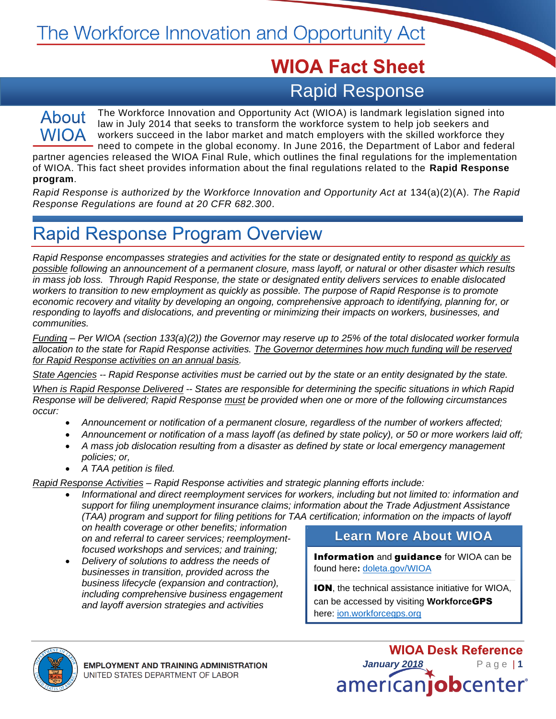# **WIOA Fact Sheet** Rapid Response

### About **WIOA**

The Workforce Innovation and Opportunity Act (WIOA) is landmark legislation signed into law in July 2014 that seeks to transform the workforce system to help job seekers and workers succeed in the labor market and match employers with the skilled workforce they need to compete in the global economy. In June 2016, the Department of Labor and federal

partner agencies released the WIOA Final Rule, which outlines the final regulations for the implementation of WIOA. This fact sheet provides information about the final regulations related to the **Rapid Response program**.

*Rapid Response is authorized by the Workforce Innovation and Opportunity Act at 134(a)(2)(A). The Rapid Response Regulations are found at 20 CFR 682.300.* 

### **Rapid Response Program Overview**

*Rapid Response encompasses strategies and activities for the state or designated entity to respond as quickly as possible following an announcement of a permanent closure, mass layoff, or natural or other disaster which results in mass job loss. Through Rapid Response, the state or designated entity delivers services to enable dislocated workers to transition to new employment as quickly as possible. The purpose of Rapid Response is to promote economic recovery and vitality by developing an ongoing, comprehensive approach to identifying, planning for, or responding to layoffs and dislocations, and preventing or minimizing their impacts on workers, businesses, and communities.* 

*Funding – Per WIOA (section 133(a)(2)) the Governor may reserve up to 25% of the total dislocated worker formula allocation to the state for Rapid Response activities. The Governor determines how much funding will be reserved for Rapid Response activities on an annual basis.*

*State Agencies -- Rapid Response activities must be carried out by the state or an entity designated by the state.*

*When is Rapid Response Delivered -- States are responsible for determining the specific situations in which Rapid Response will be delivered; Rapid Response must be provided when one or more of the following circumstances occur:* 

- *Announcement or notification of a permanent closure, regardless of the number of workers affected;*
- *Announcement or notification of a mass layoff (as defined by state policy), or 50 or more workers laid off;*
- *A mass job dislocation resulting from a disaster as defined by state or local emergency management policies; or,*
- *A TAA petition is filed.*

*Rapid Response Activities – Rapid Response activities and strategic planning efforts include:* 

• *Informational and direct reemployment services for workers, including but not limited to: information and support for filing unemployment insurance claims; information about the Trade Adjustment Assistance (TAA) program and support for filing petitions for TAA certification; information on the impacts of layoff* 

*on health coverage or other benefits; information on and referral to career services; reemploymentfocused workshops and services; and training;*

• *Delivery of solutions to address the needs of businesses in transition, provided across the business lifecycle (expansion and contraction), including comprehensive business engagement and layoff aversion strategies and activities* 

#### **Learn More About WIOA**

Information and guidance for WIOA can be found here**:** [doleta.gov/WIOA](https://doleta.gov/WIOA/)

ION, the technical assistance initiative for WIOA, can be accessed by visiting **Workforce**GPS here: [ion.workforcegps.org](https://ion.workforcegps.org/)



**WIOA Desk Reference** *January 2018* P a g e | **1** americanjobcenter®